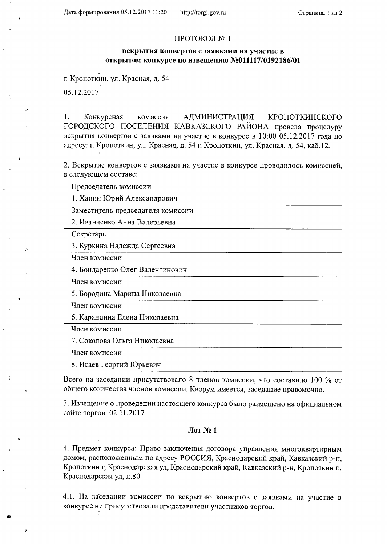## ПРОТОКОЛ № 1

## вскрытия конвертов с заявками на участие в открытом конкурсе по извещению №011117/0192186/01

г. Кропоткин, ул. Красная, д. 54

05.12.2017

Конкурсная 1. комиссия АДМИНИСТРАЦИЯ КРОПОТКИНСКОГО ГОРОДСКОГО ПОСЕЛЕНИЯ КАВКАЗСКОГО РАЙОНА провела процедуру вскрытия конвертов с заявками на участие в конкурсе в 10:00 05.12.2017 года по адресу: г. Кропоткин, ул. Красная, д. 54 г. Кропоткин, ул. Красная, д. 54, каб.12.

2. Вскрытие конвертов с заявками на участие в конкурсе проводилось комиссией, в следующем составе:

Председатель комиссии

1. Ханин Юрий Александрович

Заместитель председателя комиссии

2. Иванченко Анна Валерьевна

Секретарь

3. Куркина Надежда Сергеевна

Член комиссии

4. Бондаренко Олег Валентинович

Член комиссии

5. Бородина Марина Николаевна

Член комиссии

6. Карандина Елена Николаевна

Член комиссии

7. Соколова Ольга Николаевна

Член комиссии

8. Исаев Георгий Юрьевич

Всего на заседании присутствовало 8 членов комиссии, что составило 100 % от общего количества членов комиссии. Кворум имеется, заседание правомочно.

3. Извещение о проведении настоящего конкурса было размещено на официальном сайте торгов 02.11.2017.

## $Jor N<sub>2</sub> 1$

4. Предмет конкурса: Право заключения договора управления многоквартирным домом, расположенным по адресу РОССИЯ, Краснодарский край, Кавказский р-н, Кропоткин г, Краснодарская ул, Краснодарский край, Кавказский р-н, Кропоткин г., Краснодарская ул, д.80

4.1. На заседании комиссии по вскрытию конвертов с заявками на участие в конкурсе не присутствовали представители участников торгов.